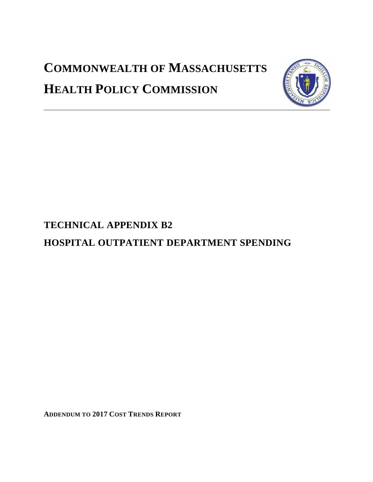# **COMMONWEALTH OF MASSACHUSETTS HEALTH POLICY COMMISSION**



# **TECHNICAL APPENDIX B2**

# **HOSPITAL OUTPATIENT DEPARTMENT SPENDING**

**ADDENDUM TO 2017 COST TRENDS REPORT**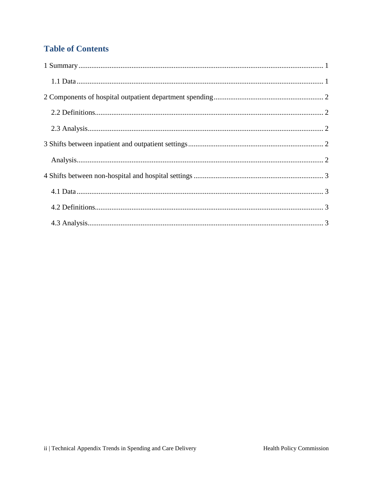# **Table of Contents**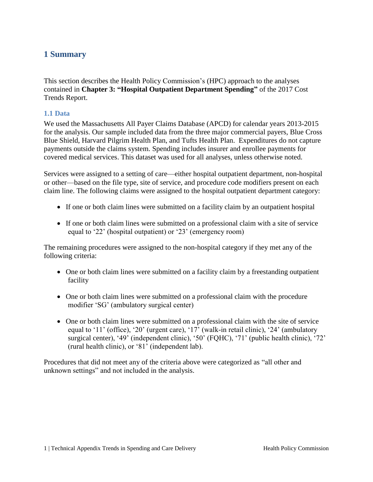### <span id="page-2-0"></span>**1 Summary**

This section describes the Health Policy Commission's (HPC) approach to the analyses contained in **Chapter 3: "Hospital Outpatient Department Spending"** of the 2017 Cost Trends Report.

#### <span id="page-2-1"></span>**1.1 Data**

We used the Massachusetts All Payer Claims Database (APCD) for calendar years 2013-2015 for the analysis. Our sample included data from the three major commercial payers, Blue Cross Blue Shield, Harvard Pilgrim Health Plan, and Tufts Health Plan. Expenditures do not capture payments outside the claims system. Spending includes insurer and enrollee payments for covered medical services. This dataset was used for all analyses, unless otherwise noted.

Services were assigned to a setting of care—either hospital outpatient department, non-hospital or other—based on the file type, site of service, and procedure code modifiers present on each claim line. The following claims were assigned to the hospital outpatient department category:

- If one or both claim lines were submitted on a facility claim by an outpatient hospital
- If one or both claim lines were submitted on a professional claim with a site of service equal to '22' (hospital outpatient) or '23' (emergency room)

The remaining procedures were assigned to the non-hospital category if they met any of the following criteria:

- One or both claim lines were submitted on a facility claim by a freestanding outpatient facility
- One or both claim lines were submitted on a professional claim with the procedure modifier 'SG' (ambulatory surgical center)
- One or both claim lines were submitted on a professional claim with the site of service equal to '11' (office), '20' (urgent care), '17' (walk-in retail clinic), '24' (ambulatory surgical center), '49' (independent clinic), '50' (FQHC), '71' (public health clinic), '72' (rural health clinic), or '81' (independent lab).

<span id="page-2-2"></span>Procedures that did not meet any of the criteria above were categorized as "all other and unknown settings" and not included in the analysis.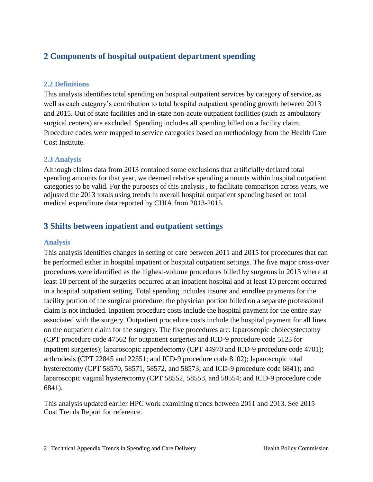# **2 Components of hospital outpatient department spending**

#### <span id="page-3-0"></span>**2.2 Definitions**

This analysis identifies total spending on hospital outpatient services by category of service, as well as each category's contribution to total hospital outpatient spending growth between 2013 and 2015. Out of state facilities and in-state non-acute outpatient facilities (such as ambulatory surgical centers) are excluded. Spending includes all spending billed on a facility claim. Procedure codes were mapped to service categories based on methodology from the Health Care Cost Institute.

#### <span id="page-3-1"></span>**2.3 Analysis**

Although claims data from 2013 contained some exclusions that artificially deflated total spending amounts for that year, we deemed relative spending amounts within hospital outpatient categories to be valid. For the purposes of this analysis , to facilitate comparison across years, we adjusted the 2013 totals using trends in overall hospital outpatient spending based on total medical expenditure data reported by CHIA from 2013-2015.

## <span id="page-3-2"></span>**3 Shifts between inpatient and outpatient settings**

#### <span id="page-3-3"></span>**Analysis**

This analysis identifies changes in setting of care between 2011 and 2015 for procedures that can be performed either in hospital inpatient or hospital outpatient settings. The five major cross-over procedures were identified as the highest-volume procedures billed by surgeons in 2013 where at least 10 percent of the surgeries occurred at an inpatient hospital and at least 10 percent occurred in a hospital outpatient setting. Total spending includes insurer and enrollee payments for the facility portion of the surgical procedure; the physician portion billed on a separate professional claim is not included. Inpatient procedure costs include the hospital payment for the entire stay associated with the surgery. Outpatient procedure costs include the hospital payment for all lines on the outpatient claim for the surgery. The five procedures are: laparoscopic cholecystectomy (CPT procedure code 47562 for outpatient surgeries and ICD-9 procedure code 5123 for inpatient surgeries); laparoscopic appendectomy (CPT 44970 and ICD-9 procedure code 4701); arthrodesis (CPT 22845 and 22551; and ICD-9 procedure code 8102); laparoscopic total hysterectomy (CPT 58570, 58571, 58572, and 58573; and ICD-9 procedure code 6841); and laparoscopic vaginal hysterectomy (CPT 58552, 58553, and 58554; and ICD-9 procedure code 6841).

This analysis updated earlier HPC work examining trends between 2011 and 2013. See 2015 Cost Trends Report for reference.